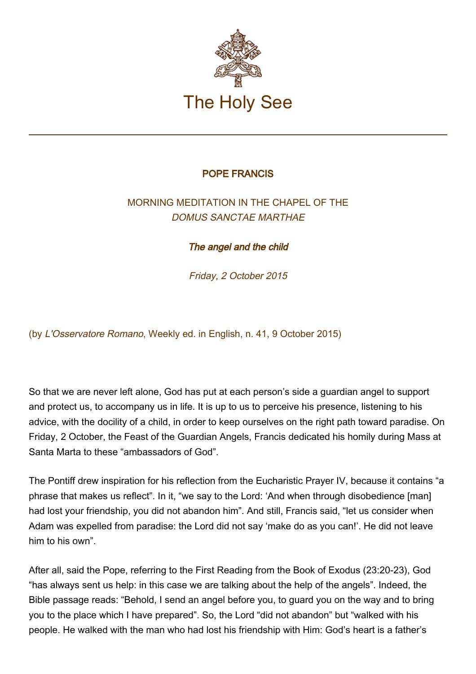

## POPE FRANCIS

## MORNING MEDITATION IN THE CHAPEL OF THE DOMUS SANCTAE MARTHAE

The angel and the child

Friday, 2 October 2015

(by L'Osservatore Romano, Weekly ed. in English, n. 41, 9 October 2015)

So that we are never left alone, God has put at each person's side a guardian angel to support and protect us, to accompany us in life. It is up to us to perceive his presence, listening to his advice, with the docility of a child, in order to keep ourselves on the right path toward paradise. On Friday, 2 October, the Feast of the Guardian Angels, Francis dedicated his homily during Mass at Santa Marta to these "ambassadors of God".

The Pontiff drew inspiration for his reflection from the Eucharistic Prayer IV, because it contains "a phrase that makes us reflect". In it, "we say to the Lord: 'And when through disobedience [man] had lost your friendship, you did not abandon him". And still, Francis said, "let us consider when Adam was expelled from paradise: the Lord did not say 'make do as you can!'. He did not leave him to his own".

After all, said the Pope, referring to the First Reading from the Book of Exodus (23:20-23), God "has always sent us help: in this case we are talking about the help of the angels". Indeed, the Bible passage reads: "Behold, I send an angel before you, to guard you on the way and to bring you to the place which I have prepared". So, the Lord "did not abandon" but "walked with his people. He walked with the man who had lost his friendship with Him: God's heart is a father's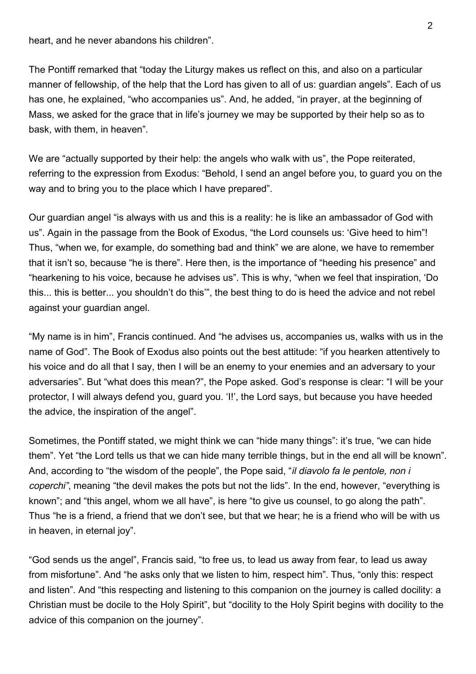heart, and he never abandons his children".

The Pontiff remarked that "today the Liturgy makes us reflect on this, and also on a particular manner of fellowship, of the help that the Lord has given to all of us: guardian angels". Each of us has one, he explained, "who accompanies us". And, he added, "in prayer, at the beginning of Mass, we asked for the grace that in life's journey we may be supported by their help so as to bask, with them, in heaven".

We are "actually supported by their help: the angels who walk with us", the Pope reiterated, referring to the expression from Exodus: "Behold, I send an angel before you, to guard you on the way and to bring you to the place which I have prepared".

Our guardian angel "is always with us and this is a reality: he is like an ambassador of God with us". Again in the passage from the Book of Exodus, "the Lord counsels us: 'Give heed to him"! Thus, "when we, for example, do something bad and think" we are alone, we have to remember that it isn't so, because "he is there". Here then, is the importance of "heeding his presence" and "hearkening to his voice, because he advises us". This is why, "when we feel that inspiration, 'Do this... this is better... you shouldn't do this'", the best thing to do is heed the advice and not rebel against your guardian angel.

"My name is in him", Francis continued. And "he advises us, accompanies us, walks with us in the name of God". The Book of Exodus also points out the best attitude: "if you hearken attentively to his voice and do all that I say, then I will be an enemy to your enemies and an adversary to your adversaries". But "what does this mean?", the Pope asked. God's response is clear: "I will be your protector, I will always defend you, guard you. 'I!', the Lord says, but because you have heeded the advice, the inspiration of the angel".

Sometimes, the Pontiff stated, we might think we can "hide many things": it's true, "we can hide them". Yet "the Lord tells us that we can hide many terrible things, but in the end all will be known". And, according to "the wisdom of the people", the Pope said, "*il diavolo fa le pentole, non i* coperchi", meaning "the devil makes the pots but not the lids". In the end, however, "everything is known"; and "this angel, whom we all have", is here "to give us counsel, to go along the path". Thus "he is a friend, a friend that we don't see, but that we hear; he is a friend who will be with us in heaven, in eternal joy".

"God sends us the angel", Francis said, "to free us, to lead us away from fear, to lead us away from misfortune". And "he asks only that we listen to him, respect him". Thus, "only this: respect and listen". And "this respecting and listening to this companion on the journey is called docility: a Christian must be docile to the Holy Spirit", but "docility to the Holy Spirit begins with docility to the advice of this companion on the journey".